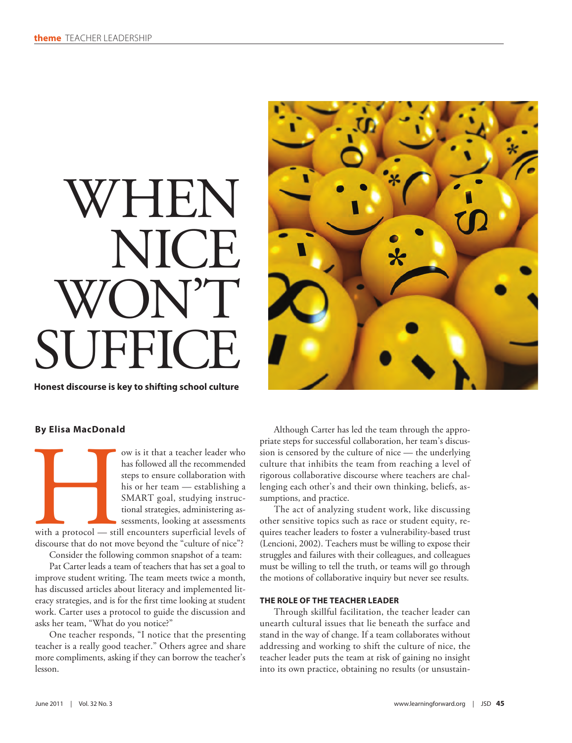# WHEN IICE WON'T SUFFICI

**Honest discourse is key to shifting school culture**



## **By Elisa MacDonald**

ow is it that a teacher leader who<br>has followed all the recommended<br>steps to ensure collaboration with<br>his or her team — establishing a<br>SMART goal, studying instruc-<br>tional strategies, administering as-<br>sessments, looking has followed all the recommended steps to ensure collaboration with his or her team — establishing a SMART goal, studying instructional strategies, administering assessments, looking at assessments with a protocol — still encounters superficial levels of

discourse that do not move beyond the "culture of nice"? Consider the following common snapshot of a team:

Pat Carter leads a team of teachers that has set a goal to improve student writing. The team meets twice a month, has discussed articles about literacy and implemented literacy strategies, and is for the first time looking at student work. Carter uses a protocol to guide the discussion and asks her team, "What do you notice?"

One teacher responds, "I notice that the presenting teacher is a really good teacher." Others agree and share more compliments, asking if they can borrow the teacher's lesson.

Although Carter has led the team through the appropriate steps for successful collaboration, her team's discussion is censored by the culture of nice — the underlying culture that inhibits the team from reaching a level of rigorous collaborative discourse where teachers are challenging each other's and their own thinking, beliefs, assumptions, and practice.

The act of analyzing student work, like discussing other sensitive topics such as race or student equity, requires teacher leaders to foster a vulnerability-based trust (Lencioni, 2002). Teachers must be willing to expose their struggles and failures with their colleagues, and colleagues must be willing to tell the truth, or teams will go through the motions of collaborative inquiry but never see results.

# **THE ROLE OF THE TEACHER LEADER**

Through skillful facilitation, the teacher leader can unearth cultural issues that lie beneath the surface and stand in the way of change. If a team collaborates without addressing and working to shift the culture of nice, the teacher leader puts the team at risk of gaining no insight into its own practice, obtaining no results (or unsustain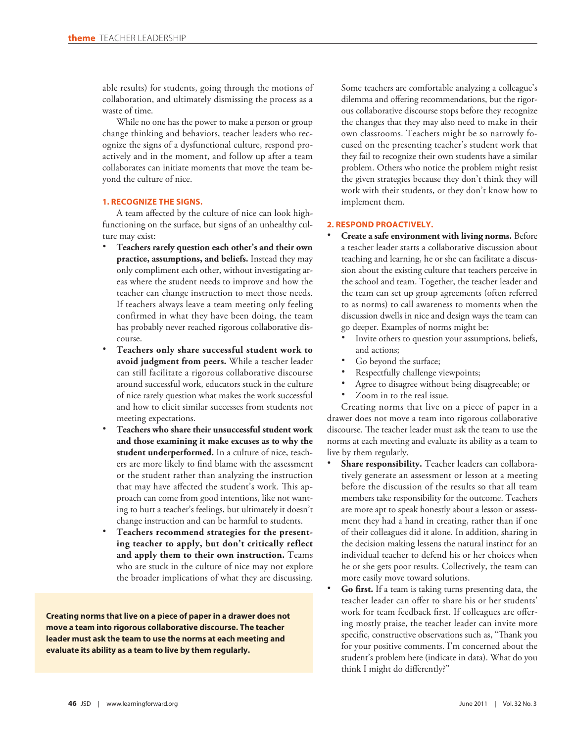able results) for students, going through the motions of collaboration, and ultimately dismissing the process as a waste of time.

While no one has the power to make a person or group change thinking and behaviors, teacher leaders who recognize the signs of a dysfunctional culture, respond proactively and in the moment, and follow up after a team collaborates can initiate moments that move the team beyond the culture of nice.

# **1. RECOGNIZE THE SIGNS.**

A team affected by the culture of nice can look highfunctioning on the surface, but signs of an unhealthy culture may exist:

- Teachers rarely question each other's and their own **practice, assumptions, and beliefs.** Instead they may only compliment each other, without investigating areas where the student needs to improve and how the teacher can change instruction to meet those needs. If teachers always leave a team meeting only feeling confirmed in what they have been doing, the team has probably never reached rigorous collaborative discourse.
- Teachers only share successful student work to **avoid judgment from peers.** While a teacher leader can still facilitate a rigorous collaborative discourse around successful work, educators stuck in the culture of nice rarely question what makes the work successful and how to elicit similar successes from students not meeting expectations.
- Teachers who share their unsuccessful student work **and those examining it make excuses as to why the student underperformed.** In a culture of nice, teachers are more likely to find blame with the assessment or the student rather than analyzing the instruction that may have affected the student's work. This approach can come from good intentions, like not wanting to hurt a teacher's feelings, but ultimately it doesn't change instruction and can be harmful to students.
- Teachers recommend strategies for the present**ing teacher to apply, but don't critically reflect and apply them to their own instruction.** Teams who are stuck in the culture of nice may not explore the broader implications of what they are discussing.

**Creating norms that live on a piece of paper in a drawer does not move a team into rigorous collaborative discourse. The teacher leader must ask the team to use the norms at each meeting and evaluate its ability as a team to live by them regularly.**

Some teachers are comfortable analyzing a colleague's dilemma and offering recommendations, but the rigorous collaborative discourse stops before they recognize the changes that they may also need to make in their own classrooms. Teachers might be so narrowly focused on the presenting teacher's student work that they fail to recognize their own students have a similar problem. Others who notice the problem might resist the given strategies because they don't think they will work with their students, or they don't know how to implement them.

#### **2. RESPOND PROACTIVELY.**

- **Create a safe environment with living norms.** Before a teacher leader starts a collaborative discussion about teaching and learning, he or she can facilitate a discussion about the existing culture that teachers perceive in the school and team. Together, the teacher leader and the team can set up group agreements (often referred to as norms) to call awareness to moments when the discussion dwells in nice and design ways the team can go deeper. Examples of norms might be:
	- Invite others to question your assumptions, beliefs, and actions;
	- Go beyond the surface;
	- Respectfully challenge viewpoints;
	- Agree to disagree without being disagreeable; or
	- Zoom in to the real issue.

Creating norms that live on a piece of paper in a drawer does not move a team into rigorous collaborative discourse. The teacher leader must ask the team to use the norms at each meeting and evaluate its ability as a team to live by them regularly.

- Share responsibility. Teacher leaders can collaboratively generate an assessment or lesson at a meeting before the discussion of the results so that all team members take responsibility for the outcome. Teachers are more apt to speak honestly about a lesson or assessment they had a hand in creating, rather than if one of their colleagues did it alone. In addition, sharing in the decision making lessens the natural instinct for an individual teacher to defend his or her choices when he or she gets poor results. Collectively, the team can more easily move toward solutions.
- **Go first.** If a team is taking turns presenting data, the teacher leader can offer to share his or her students' work for team feedback first. If colleagues are offering mostly praise, the teacher leader can invite more specific, constructive observations such as, "Thank you for your positive comments. I'm concerned about the student's problem here (indicate in data). What do you think I might do differently?"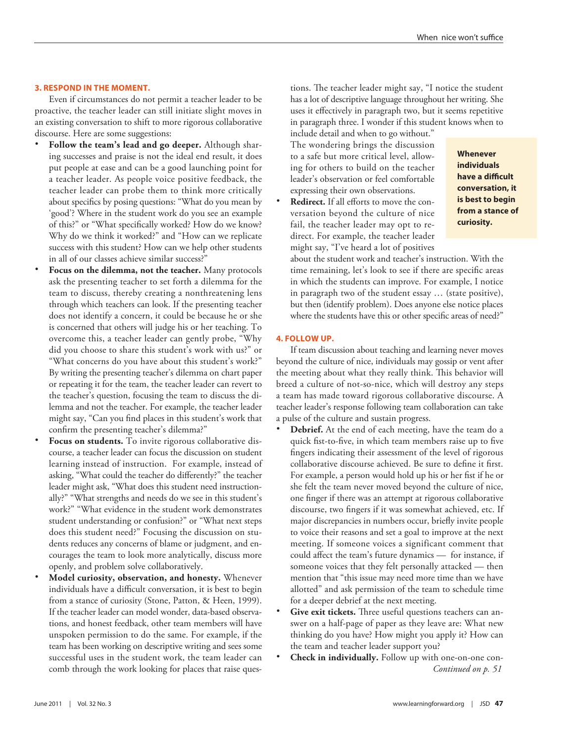#### **3. RESPOND IN THE MOMENT.**

Even if circumstances do not permit a teacher leader to be proactive, the teacher leader can still initiate slight moves in an existing conversation to shift to more rigorous collaborative discourse. Here are some suggestions:

- Follow the team's lead and go deeper. Although sharing successes and praise is not the ideal end result, it does put people at ease and can be a good launching point for a teacher leader. As people voice positive feedback, the teacher leader can probe them to think more critically about specifics by posing questions: "What do you mean by 'good'? Where in the student work do you see an example of this?" or "What specifically worked? How do we know? Why do we think it worked?" and "How can we replicate success with this student? How can we help other students in all of our classes achieve similar success?"
- Focus on the dilemma, not the teacher. Many protocols ask the presenting teacher to set forth a dilemma for the team to discuss, thereby creating a nonthreatening lens through which teachers can look. If the presenting teacher does not identify a concern, it could be because he or she is concerned that others will judge his or her teaching. To overcome this, a teacher leader can gently probe, "Why did you choose to share this student's work with us?" or "What concerns do you have about this student's work?" By writing the presenting teacher's dilemma on chart paper or repeating it for the team, the teacher leader can revert to the teacher's question, focusing the team to discuss the dilemma and not the teacher. For example, the teacher leader might say, "Can you find places in this student's work that confirm the presenting teacher's dilemma?"
- Focus on students. To invite rigorous collaborative discourse, a teacher leader can focus the discussion on student learning instead of instruction. For example, instead of asking, "What could the teacher do differently?" the teacher leader might ask, "What does this student need instructionally?" "What strengths and needs do we see in this student's work?" "What evidence in the student work demonstrates student understanding or confusion?" or "What next steps does this student need?" Focusing the discussion on students reduces any concerns of blame or judgment, and encourages the team to look more analytically, discuss more openly, and problem solve collaboratively.
- **• Model curiosity, observation, and honesty.** Whenever individuals have a difficult conversation, it is best to begin from a stance of curiosity (Stone, Patton, & Heen, 1999). If the teacher leader can model wonder, data-based observations, and honest feedback, other team members will have unspoken permission to do the same. For example, if the team has been working on descriptive writing and sees some successful uses in the student work, the team leader can comb through the work looking for places that raise ques-

tions. The teacher leader might say, "I notice the student has a lot of descriptive language throughout her writing. She uses it effectively in paragraph two, but it seems repetitive in paragraph three. I wonder if this student knows when to include detail and when to go without."

The wondering brings the discussion to a safe but more critical level, allowing for others to build on the teacher leader's observation or feel comfortable expressing their own observations.

**Redirect.** If all efforts to move the conversation beyond the culture of nice fail, the teacher leader may opt to redirect. For example, the teacher leader might say, "I've heard a lot of positives

**Whenever individuals have a difficult conversation, it is best to begin from a stance of curiosity.**

about the student work and teacher's instruction. With the time remaining, let's look to see if there are specific areas in which the students can improve. For example, I notice in paragraph two of the student essay … (state positive), but then (identify problem). Does anyone else notice places where the students have this or other specific areas of need?"

#### **4. FOLLOW UP.**

If team discussion about teaching and learning never moves beyond the culture of nice, individuals may gossip or vent after the meeting about what they really think. This behavior will breed a culture of not-so-nice, which will destroy any steps a team has made toward rigorous collaborative discourse. A teacher leader's response following team collaboration can take a pulse of the culture and sustain progress.

- Debrief. At the end of each meeting, have the team do a quick fist-to-five, in which team members raise up to five fingers indicating their assessment of the level of rigorous collaborative discourse achieved. Be sure to define it first. For example, a person would hold up his or her fist if he or she felt the team never moved beyond the culture of nice, one finger if there was an attempt at rigorous collaborative discourse, two fingers if it was somewhat achieved, etc. If major discrepancies in numbers occur, briefly invite people to voice their reasons and set a goal to improve at the next meeting. If someone voices a significant comment that could affect the team's future dynamics — for instance, if someone voices that they felt personally attacked — then mention that "this issue may need more time than we have allotted" and ask permission of the team to schedule time for a deeper debrief at the next meeting.
- Give exit tickets. Three useful questions teachers can answer on a half-page of paper as they leave are: What new thinking do you have? How might you apply it? How can the team and teacher leader support you?
- **Check in individually.** Follow up with one-on-one con-*Continued on p. 51*